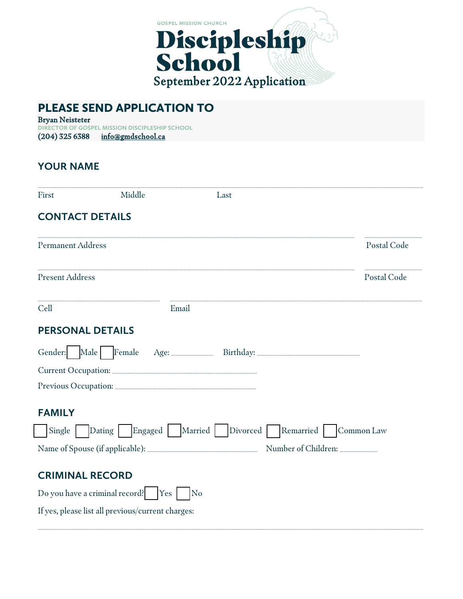

# PLEASE SEND APPLICATION TO

Bryan Neisteter **DIRECTOR OF GOSPEL MISSION DISCIPLESHIP SCHOOL** (204) 325 6388 info@gmdschool.ca

### **YOUR NAME**

| First                                             | Middle | Last                                                                             |                     |
|---------------------------------------------------|--------|----------------------------------------------------------------------------------|---------------------|
| <b>CONTACT DETAILS</b>                            |        |                                                                                  |                     |
| <b>Permanent Address</b>                          |        |                                                                                  | Postal Code         |
| <b>Present Address</b>                            |        |                                                                                  | Postal Code         |
| Cell                                              | Email  |                                                                                  |                     |
| <b>PERSONAL DETAILS</b>                           |        |                                                                                  |                     |
|                                                   |        | Gender: Male Female Age: _________ Birthday: ___________________________________ |                     |
|                                                   |        |                                                                                  |                     |
|                                                   |        |                                                                                  |                     |
| <b>FAMILY</b>                                     |        |                                                                                  |                     |
| Single                                            |        | Dating Engaged Married Divorced Remarried                                        | Common Law          |
|                                                   |        |                                                                                  | Number of Children: |
|                                                   |        |                                                                                  |                     |
| <b>CRIMINAL RECORD</b>                            |        |                                                                                  |                     |
| Do you have a criminal record? $Yes$              |        | No                                                                               |                     |
| If yes, please list all previous/current charges: |        |                                                                                  |                     |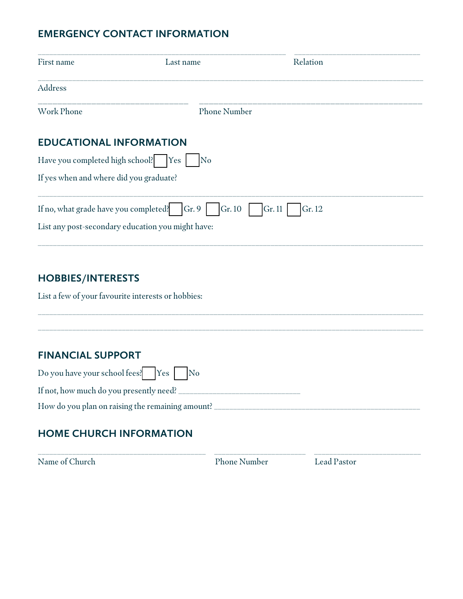## **EMERGENCY CONTACT INFORMATION**

| First name                                         | Last name                                         | Relation         |  |  |  |
|----------------------------------------------------|---------------------------------------------------|------------------|--|--|--|
| Address                                            |                                                   |                  |  |  |  |
| <b>Work Phone</b>                                  | <b>Phone Number</b>                               |                  |  |  |  |
| <b>EDUCATIONAL INFORMATION</b>                     |                                                   |                  |  |  |  |
| Have you completed high school?   Yes<br>No        |                                                   |                  |  |  |  |
| If yes when and where did you graduate?            |                                                   |                  |  |  |  |
| If no, what grade have you completed?              | Gr. 9<br>Gr. 10                                   | Gr. 11<br>Gr. 12 |  |  |  |
|                                                    | List any post-secondary education you might have: |                  |  |  |  |
|                                                    |                                                   |                  |  |  |  |
| <b>HOBBIES/INTERESTS</b>                           |                                                   |                  |  |  |  |
| List a few of your favourite interests or hobbies: |                                                   |                  |  |  |  |

### **FINANCIAL SUPPORT**

| Do you have your school fees! $\begin{array}{ c c } \hline \text{Yes} & \text{Ns} \end{array}$ No |  |  |
|---------------------------------------------------------------------------------------------------|--|--|
| If not, how much do you presently need?                                                           |  |  |
| How do you plan on raising the remaining amount?                                                  |  |  |

\_\_\_\_\_\_\_\_\_\_\_\_\_\_\_\_\_\_\_\_\_\_\_\_\_\_\_\_\_\_\_\_\_\_\_\_\_\_\_\_\_\_\_\_\_\_\_\_\_\_\_\_\_\_\_\_\_\_\_\_\_\_\_\_\_\_\_\_\_\_\_\_\_\_\_\_\_\_\_\_\_\_\_\_\_\_\_\_\_\_\_\_\_\_\_\_\_\_\_\_\_

## **HOME CHURCH INFORMATION**

Name of Church Phone Number Lead Pastor

\_\_\_\_\_\_\_\_\_\_\_\_\_\_\_\_\_\_\_\_\_\_\_\_\_\_\_\_\_\_\_\_\_\_\_\_\_\_\_\_\_\_\_\_ \_\_\_\_\_\_\_\_\_\_\_\_\_\_\_\_\_\_\_\_\_\_\_\_ \_\_\_\_\_\_\_\_\_\_\_\_\_\_\_\_\_\_\_\_\_\_\_\_\_\_\_\_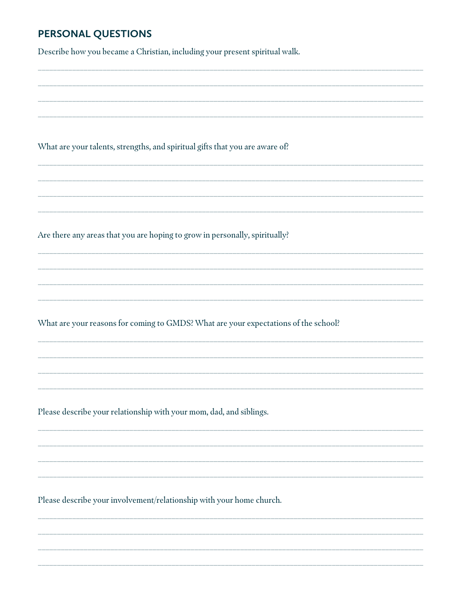## PERSONAL QUESTIONS

Describe how you became a Christian, including your present spiritual walk.

What are your talents, strengths, and spiritual gifts that you are aware of?

Are there any areas that you are hoping to grow in personally, spiritually?

What are your reasons for coming to GMDS? What are your expectations of the school?

Please describe your relationship with your mom, dad, and siblings.

Please describe your involvement/relationship with your home church.